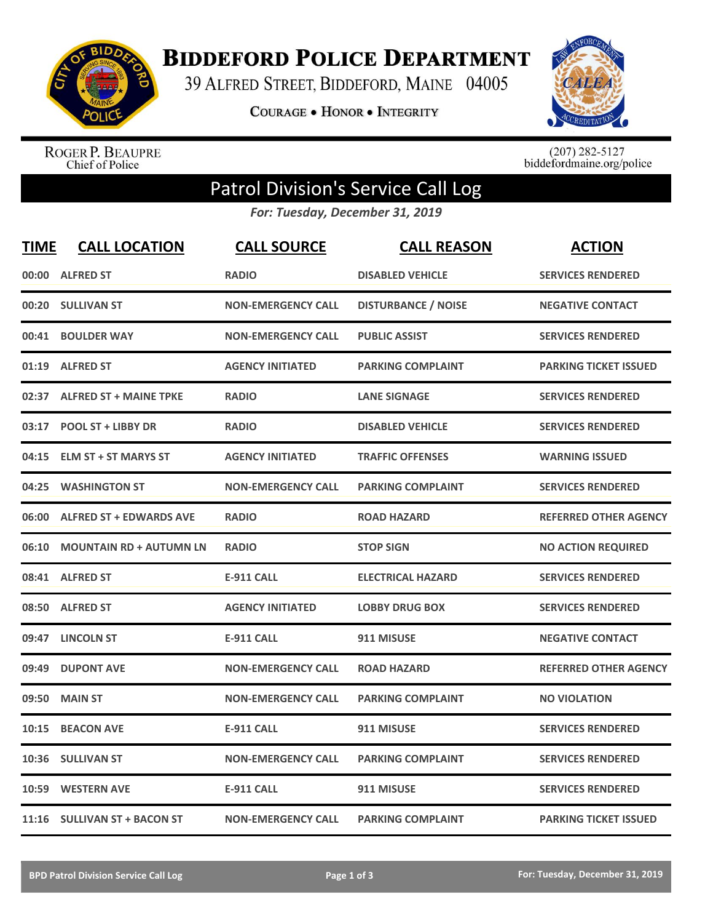

**BIDDEFORD POLICE DEPARTMENT** 

39 ALFRED STREET, BIDDEFORD, MAINE 04005

**COURAGE . HONOR . INTEGRITY** 



ROGER P. BEAUPRE<br>Chief of Police

 $(207)$  282-5127<br>biddefordmaine.org/police

## Patrol Division's Service Call Log

*For: Tuesday, December 31, 2019*

| <b>TIME</b> | <b>CALL LOCATION</b>           | <b>CALL SOURCE</b>        | <b>CALL REASON</b>         | <b>ACTION</b>                |
|-------------|--------------------------------|---------------------------|----------------------------|------------------------------|
| 00:00       | <b>ALFRED ST</b>               | <b>RADIO</b>              | <b>DISABLED VEHICLE</b>    | <b>SERVICES RENDERED</b>     |
| 00:20       | <b>SULLIVAN ST</b>             | <b>NON-EMERGENCY CALL</b> | <b>DISTURBANCE / NOISE</b> | <b>NEGATIVE CONTACT</b>      |
| 00:41       | <b>BOULDER WAY</b>             | <b>NON-EMERGENCY CALL</b> | <b>PUBLIC ASSIST</b>       | <b>SERVICES RENDERED</b>     |
| 01:19       | <b>ALFRED ST</b>               | <b>AGENCY INITIATED</b>   | <b>PARKING COMPLAINT</b>   | <b>PARKING TICKET ISSUED</b> |
| 02:37       | <b>ALFRED ST + MAINE TPKE</b>  | <b>RADIO</b>              | <b>LANE SIGNAGE</b>        | <b>SERVICES RENDERED</b>     |
| 03:17       | <b>POOL ST + LIBBY DR</b>      | <b>RADIO</b>              | <b>DISABLED VEHICLE</b>    | <b>SERVICES RENDERED</b>     |
| 04:15       | <b>ELM ST + ST MARYS ST</b>    | <b>AGENCY INITIATED</b>   | <b>TRAFFIC OFFENSES</b>    | <b>WARNING ISSUED</b>        |
| 04:25       | <b>WASHINGTON ST</b>           | <b>NON-EMERGENCY CALL</b> | <b>PARKING COMPLAINT</b>   | <b>SERVICES RENDERED</b>     |
| 06:00       | <b>ALFRED ST + EDWARDS AVE</b> | <b>RADIO</b>              | <b>ROAD HAZARD</b>         | <b>REFERRED OTHER AGENCY</b> |
| 06:10       | <b>MOUNTAIN RD + AUTUMN LN</b> | <b>RADIO</b>              | <b>STOP SIGN</b>           | <b>NO ACTION REQUIRED</b>    |
|             | 08:41 ALFRED ST                | <b>E-911 CALL</b>         | <b>ELECTRICAL HAZARD</b>   | <b>SERVICES RENDERED</b>     |
|             | 08:50 ALFRED ST                | <b>AGENCY INITIATED</b>   | <b>LOBBY DRUG BOX</b>      | <b>SERVICES RENDERED</b>     |
|             | 09:47 LINCOLN ST               | <b>E-911 CALL</b>         | 911 MISUSE                 | <b>NEGATIVE CONTACT</b>      |
| 09:49       | <b>DUPONT AVE</b>              | <b>NON-EMERGENCY CALL</b> | <b>ROAD HAZARD</b>         | <b>REFERRED OTHER AGENCY</b> |
| 09:50       | <b>MAIN ST</b>                 | <b>NON-EMERGENCY CALL</b> | <b>PARKING COMPLAINT</b>   | <b>NO VIOLATION</b>          |
| 10:15       | <b>BEACON AVE</b>              | <b>E-911 CALL</b>         | 911 MISUSE                 | <b>SERVICES RENDERED</b>     |
| 10:36       | <b>SULLIVAN ST</b>             | <b>NON-EMERGENCY CALL</b> | <b>PARKING COMPLAINT</b>   | <b>SERVICES RENDERED</b>     |
| 10:59       | <b>WESTERN AVE</b>             | <b>E-911 CALL</b>         | 911 MISUSE                 | <b>SERVICES RENDERED</b>     |
|             | 11:16 SULLIVAN ST + BACON ST   | <b>NON-EMERGENCY CALL</b> | <b>PARKING COMPLAINT</b>   | <b>PARKING TICKET ISSUED</b> |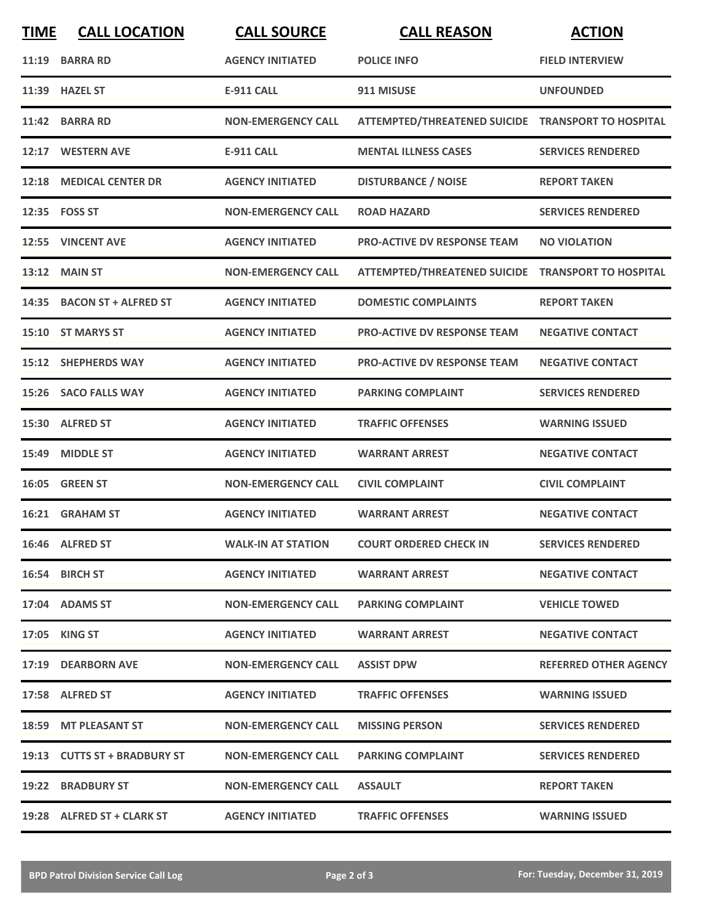| <b>TIME</b> | <b>CALL LOCATION</b>         | <b>CALL SOURCE</b>        | <b>CALL REASON</b>                                 | <b>ACTION</b>                |
|-------------|------------------------------|---------------------------|----------------------------------------------------|------------------------------|
|             | 11:19 BARRA RD               | <b>AGENCY INITIATED</b>   | <b>POLICE INFO</b>                                 | <b>FIELD INTERVIEW</b>       |
| 11:39       | <b>HAZEL ST</b>              | <b>E-911 CALL</b>         | 911 MISUSE                                         | <b>UNFOUNDED</b>             |
|             | 11:42 BARRA RD               | <b>NON-EMERGENCY CALL</b> | ATTEMPTED/THREATENED SUICIDE TRANSPORT TO HOSPITAL |                              |
|             | 12:17 WESTERN AVE            | <b>E-911 CALL</b>         | <b>MENTAL ILLNESS CASES</b>                        | <b>SERVICES RENDERED</b>     |
|             | 12:18 MEDICAL CENTER DR      | <b>AGENCY INITIATED</b>   | <b>DISTURBANCE / NOISE</b>                         | <b>REPORT TAKEN</b>          |
|             | 12:35    FOSS ST             | <b>NON-EMERGENCY CALL</b> | <b>ROAD HAZARD</b>                                 | <b>SERVICES RENDERED</b>     |
|             | 12:55 VINCENT AVE            | <b>AGENCY INITIATED</b>   | <b>PRO-ACTIVE DV RESPONSE TEAM</b>                 | <b>NO VIOLATION</b>          |
| 13:12       | <b>MAIN ST</b>               | <b>NON-EMERGENCY CALL</b> | ATTEMPTED/THREATENED SUICIDE TRANSPORT TO HOSPITAL |                              |
|             | 14:35 BACON ST + ALFRED ST   | <b>AGENCY INITIATED</b>   | <b>DOMESTIC COMPLAINTS</b>                         | <b>REPORT TAKEN</b>          |
| 15:10       | <b>ST MARYS ST</b>           | <b>AGENCY INITIATED</b>   | <b>PRO-ACTIVE DV RESPONSE TEAM</b>                 | <b>NEGATIVE CONTACT</b>      |
|             | 15:12 SHEPHERDS WAY          | <b>AGENCY INITIATED</b>   | <b>PRO-ACTIVE DV RESPONSE TEAM</b>                 | <b>NEGATIVE CONTACT</b>      |
|             | 15:26 SACO FALLS WAY         | <b>AGENCY INITIATED</b>   | <b>PARKING COMPLAINT</b>                           | <b>SERVICES RENDERED</b>     |
| 15:30       | <b>ALFRED ST</b>             | <b>AGENCY INITIATED</b>   | <b>TRAFFIC OFFENSES</b>                            | <b>WARNING ISSUED</b>        |
| 15:49       | <b>MIDDLE ST</b>             | <b>AGENCY INITIATED</b>   | <b>WARRANT ARREST</b>                              | <b>NEGATIVE CONTACT</b>      |
|             | 16:05 GREEN ST               | <b>NON-EMERGENCY CALL</b> | <b>CIVIL COMPLAINT</b>                             | <b>CIVIL COMPLAINT</b>       |
|             | 16:21 GRAHAM ST              | <b>AGENCY INITIATED</b>   | <b>WARRANT ARREST</b>                              | <b>NEGATIVE CONTACT</b>      |
|             | 16:46 ALFRED ST              | <b>WALK-IN AT STATION</b> | <b>COURT ORDERED CHECK IN</b>                      | <b>SERVICES RENDERED</b>     |
|             | 16:54 BIRCH ST               | <b>AGENCY INITIATED</b>   | <b>WARRANT ARREST</b>                              | <b>NEGATIVE CONTACT</b>      |
|             | 17:04 ADAMS ST               | <b>NON-EMERGENCY CALL</b> | <b>PARKING COMPLAINT</b>                           | <b>VEHICLE TOWED</b>         |
|             | 17:05 KING ST                | <b>AGENCY INITIATED</b>   | <b>WARRANT ARREST</b>                              | <b>NEGATIVE CONTACT</b>      |
|             | 17:19 DEARBORN AVE           | <b>NON-EMERGENCY CALL</b> | <b>ASSIST DPW</b>                                  | <b>REFERRED OTHER AGENCY</b> |
|             | 17:58 ALFRED ST              | <b>AGENCY INITIATED</b>   | <b>TRAFFIC OFFENSES</b>                            | <b>WARNING ISSUED</b>        |
|             | 18:59 MT PLEASANT ST         | <b>NON-EMERGENCY CALL</b> | <b>MISSING PERSON</b>                              | <b>SERVICES RENDERED</b>     |
|             | 19:13 CUTTS ST + BRADBURY ST | <b>NON-EMERGENCY CALL</b> | <b>PARKING COMPLAINT</b>                           | <b>SERVICES RENDERED</b>     |
|             | 19:22 BRADBURY ST            | <b>NON-EMERGENCY CALL</b> | <b>ASSAULT</b>                                     | <b>REPORT TAKEN</b>          |
|             | 19:28 ALFRED ST + CLARK ST   | <b>AGENCY INITIATED</b>   | <b>TRAFFIC OFFENSES</b>                            | <b>WARNING ISSUED</b>        |